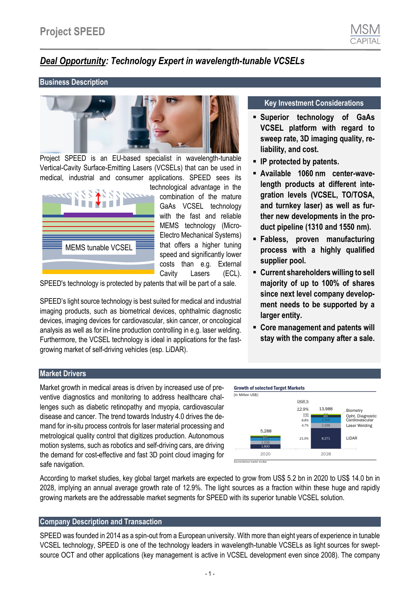# *Deal Opportunity: Technology Expert in wavelength-tunable VCSELs*

#### **Business Description**



Project SPEED is an EU-based specialist in wavelength-tunable Vertical-Cavity Surface-Emitting Lasers (VCSELs) that can be used in medical, industrial and consumer applications. SPEED sees its



technological advantage in the combination of the mature GaAs VCSEL technology with the fast and reliable MEMS technology (Micro-Electro Mechanical Systems) that offers a higher tuning speed and significantly lower costs than e.g. External Cavity Lasers (ECL).

SPEED's technology is protected by patents that will be part of a sale.

SPEED's light source technology is best suited for medical and industrial imaging products, such as biometrical devices, ophthalmic diagnostic devices, imaging devices for cardiovascular, skin cancer, or oncological analysis as well as for in-line production controlling in e.g. laser welding. Furthermore, the VCSEL technology is ideal in applications for the fastgrowing market of self-driving vehicles (esp. LiDAR).

#### **Key Investment Considerations**

- **Superior technology of GaAs VCSEL platform with regard to sweep rate, 3D imaging quality, reliability, and cost.**
- **IP protected by patents.**
- **Available 1060 nm center-wavelength products at different integration levels (VCSEL, TO/TOSA, and turnkey laser) as well as further new developments in the product pipeline (1310 and 1550 nm).**
- **Fabless, proven manufacturing process with a highly qualified supplier pool.**
- **Current shareholders willing to sell majority of up to 100% of shares since next level company development needs to be supported by a larger entity.**
- **Core management and patents will stay with the company after a sale.**

#### **Market Drivers**

Market growth in medical areas is driven by increased use of preventive diagnostics and monitoring to address healthcare challenges such as diabetic retinopathy and myopia, cardiovascular disease and cancer. The trend towards Industry 4.0 drives the demand for in-situ process controls for laser material processing and metrological quality control that digitizes production. Autonomous motion systems, such as robotics and self-driving cars, are driving the demand for cost-effective and fast 3D point cloud imaging for safe navigation.



According to market studies, key global target markets are expected to grow from US\$ 5.2 bn in 2020 to US\$ 14.0 bn in 2028, implying an annual average growth rate of 12.9%. The light sources as a fraction within these huge and rapidly growing markets are the addressable market segments for SPEED with its superior tunable VCSEL solution.

### **Company Description and Transaction**

SPEED was founded in 2014 as a spin-out from a European university. With more than eight years of experience in tunable VCSEL technology, SPEED is one of the technology leaders in wavelength-tunable VCSELs as light sources for sweptsource OCT and other applications (key management is active in VCSEL development even since 2008). The company